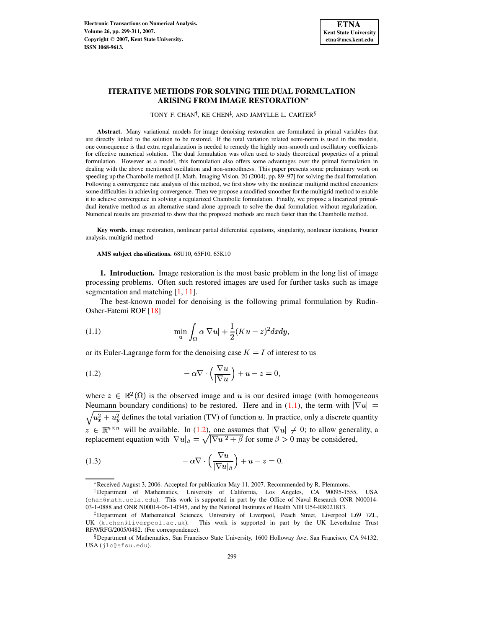

# **ITERATIVE METHODS FOR SOLVING THE DUAL FORMULATION ARISING FROM IMAGE RESTORATION**

TONY F. CHAN<sup>†</sup>, KE CHEN<sup>‡</sup>, AND JAMYLLE L. CARTER<sup>§</sup>

**Abstract.** Many variational models for image denoising restoration are formulated in primal variables that are directly linked to the solution to be restored. If the total variation related semi-norm is used in the models, one consequence is that extra regularization is needed to remedy the highly non-smooth and oscillatory coefficients for effective numerical solution. The dual formulation was often used to study theoretical properties of a primal formulation. However as a model, this formulation also offers some advantages over the primal formulation in dealing with the above mentioned oscillation and non-smoothness. This paper presents some preliminary work on speeding up the Chambolle method [J. Math. Imaging Vision, 20 (2004), pp. 89–97] for solving the dual formulation. Following a convergence rate analysis of this method, we first show why the nonlinear multigrid method encounters some difficulties in achieving convergence. Then we propose a modified smoother for the multigrid method to enable it to achieve convergence in solving a regularized Chambolle formulation. Finally, we propose a linearized primaldual iterative method as an alternative stand-alone approach to solve the dual formulation without regularization. Numerical results are presented to show that the proposed methods are much faster than the Chambolle method.

**Key words.** image restoration, nonlinear partial differential equations, singularity, nonlinear iterations, Fourier analysis, multigrid method

**AMS subject classifications.** 68U10, 65F10, 65K10

**1. Introduction.** Image restoration is the most basic problem in the long list of image processing problems. Often such restored images are used for further tasks such as image segmentation and matching [\[1,](#page-12-0) [11\]](#page-12-1).

The best-known model for denoising is the following primal formulation by Rudin-Osher-Fatemi ROF [\[18\]](#page-12-2)

!
243-5

<span id="page-0-0"></span>(1.1) 
$$
\min_{u} \int_{\Omega} \alpha |\nabla u| + \frac{1}{2} (Ku - z)^2 dx dy,
$$

or its Euler-Lagrange form for the denoising case  $K = I$  of interest to us

<span id="page-0-1"></span>(1.2) 
$$
-\alpha \nabla \cdot \left(\frac{\nabla u}{|\nabla u|}\right) + u - z = 0,
$$

where  $z \in \mathbb{R}^2(\Omega)$  is the observed image and u is our desired image (with homogeneous Neumann boundary conditions) to be restored. Here and in [\(1.1\)](#page-0-0), the term with  $|\nabla u|$  =  $\sqrt{u_x^2 + u_y^2}$  defines the total variation (TV) of function u. In practice, only a discrete quantity  $z \in \mathbb{R}^{n \times n}$  will be available. In [\(1.2\)](#page-0-1), one assumes that  $|\nabla u| \neq 0$ ; to allow generality, a replacement equation with  $|\nabla u|_{\beta} = \sqrt{|\nabla u|^2 + \beta}$  for some  $\beta > 0$  may be considered,

<span id="page-0-2"></span>(1.3) 
$$
-\alpha \nabla \cdot \left(\frac{\nabla u}{|\nabla u|_{\beta}}\right) + u - z = 0.
$$

<sup>\*</sup> Received August 3, 2006. Accepted for publication May 11, 2007. Recommended by R. Plemmons.

<sup>&</sup>lt;sup>†</sup>Department of Mathematics, University of California, Los Angeles, CA 90095-1555, USA (chan@math.ucla.edu). This work is supported in part by the Office of Naval Research ONR N00014- 03-1-0888 and ONR N00014-06-1-0345, and by the National Institutes of Health NIH U54-RR021813.

<sup>-</sup> Department of Mathematical Sciences, University of Liverpool, Peach Street, Liverpool L69 7ZL, UK (k.chen@liverpool.ac.uk). This work is supported in part by the UK Leverhulme Trust RF/9/RFG/2005/0482. (For correspondence).

 $\S$  Department of Mathematics, San Francisco State University, 1600 Holloway Ave, San Francisco, CA 94132, USA (jlc@sfsu.edu).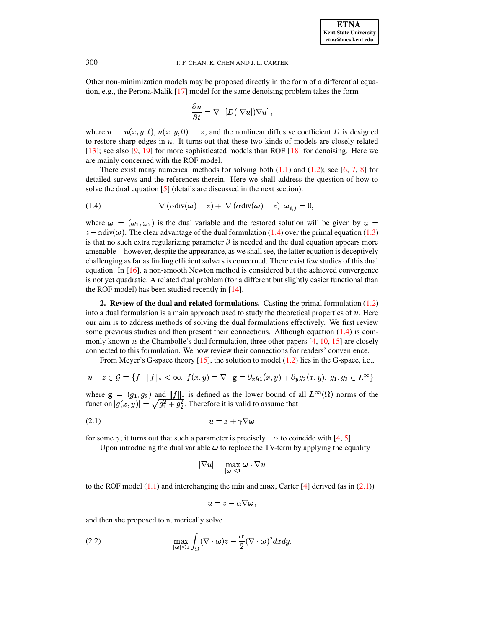Other non-minimization models may be proposed directly in the form of a differential equation, e.g., the Perona-Malik [\[17\]](#page-12-3) model for the same denoising problem takes the form

$$
\frac{\partial u}{\partial t} = \nabla \cdot \left[ D(|\nabla u|) \nabla u \right],
$$

where  $u = u(x, y, t), u(x, y, 0) = z$ , and the nonlinear diffusive coefficient D is designed to restore sharp edges in u. It turns out that these two kinds of models are closely related to restore sharp edges in u. It turns out that these two kinds of models are closely related [\[13\]](#page-12-4); see also [\[9,](#page-12-5) [19\]](#page-12-6) for more sophisticated models than ROF [\[18\]](#page-12-2) for denoising. Here we are mainly concerned with the ROF model.

There exist many numerical methods for solving both  $(1.1)$  and  $(1.2)$ ; see [\[6,](#page-12-7) [7,](#page-12-8) [8\]](#page-12-9) for detailed surveys and the references therein. Here we shall address the question of how to solve the dual equation [\[5\]](#page-12-10) (details are discussed in the next section):

<span id="page-1-0"></span>(1.4) 
$$
-\nabla (\alpha \operatorname{div}(\boldsymbol{\omega}) - z) + |\nabla (\alpha \operatorname{div}(\boldsymbol{\omega}) - z)| \boldsymbol{\omega}_{i,j} = 0,
$$

where  $\omega = (\omega_1, \omega_2)$  is the dual variable and the restored solution will be given by  $u =$  $\alpha = (\alpha_1, \alpha_2)$  is the dual variable and the restorce solution with be given by  $\alpha =$ <br>div( $\omega$ ). The clear advantage of the dual formulation [\(1.4\)](#page-1-0) over the primal equation [\(1.3\)](#page-0-2) is that no such extra regularizing parameter  $\beta$  is needed and the dual equation appears more amenable—however, despite the appearance, as we shall see, the latter equation is deceptively challenging as far as finding efficient solvers is concerned. There exist few studies of this dual equation. In [\[16\]](#page-12-11), a non-smooth Newton method is considered but the achieved convergence is not yet quadratic. A related dual problem (for a different but slightly easier functional than the ROF model) has been studied recently in [\[14\]](#page-12-12).

**2. Review of the dual and related formulations.** Casting the primal formulation [\(1.2\)](#page-0-1) 2. **EXECUTE OF THE UGAT AND FORMULATION EXECUTE:**  $\alpha$  and  $\beta$  is a main approach used to study the theoretical properties of  $u$ . Here our aim is to address methods of solving the dual formulations effectively. We first review some previous studies and then present their connections. Although equation [\(1.4\)](#page-1-0) is com-monly known as the Chambolle's dual formulation, three other papers [\[4,](#page-12-13) [10,](#page-12-14) [15\]](#page-12-15) are closely connected to this formulation. We now review their connections for readers' convenience.

From Meyer's G-space theory [\[15\]](#page-12-15), the solution to model [\(1.2\)](#page-0-1) lies in the G-space, i.e.,

$$
u - z \in \mathcal{G} = \{ f | ||f||_{*} < \infty, \ f(x, y) = \nabla \cdot \mathbf{g} = \partial_{x} g_{1}(x, y) + \partial_{y} g_{2}(x, y), \ g_{1}, g_{2} \in L^{\infty} \},
$$

where  $\mathbf{g} = (g_1, g_2)$  and where  $\mathbf{g} = (g_1, g_2)$  and  $||f||_*$  is defined as the lower bound of all  $L^{\infty}(\Omega)$  norms of the function  $|g(x, y)| = \sqrt{g_1^2 + g_2^2}$ . Therefore it is valid to assume that

$$
(2.1) \t\t u = z + \gamma \nabla \omega
$$

for some  $\gamma$ ; it turns out that such a parameter is precisely  $-\alpha$  to coincide with [\[4,](#page-12-13) [5\]](#page-12-10).

<span id="page-1-1"></span>Upon introducing the dual variable  $\omega$  to replace the TV-term by applying the equality

$$
|\nabla u|=\max_{|\boldsymbol{\omega}|\leq 1}\boldsymbol{\omega}\cdot\nabla u
$$

to the ROF model  $(1.1)$  and interchanging the min and max, Carter [\[4\]](#page-12-13) derived (as in  $(2.1)$ )

$$
u=z-\alpha \nabla \boldsymbol{\omega}\;\! ,
$$

and then she proposed to numerically solve

<span id="page-1-2"></span>(2.2) 
$$
\max_{|\omega| \leq 1} \int_{\Omega} (\nabla \cdot \omega) z - \frac{\alpha}{2} (\nabla \cdot \omega)^2 dx dy.
$$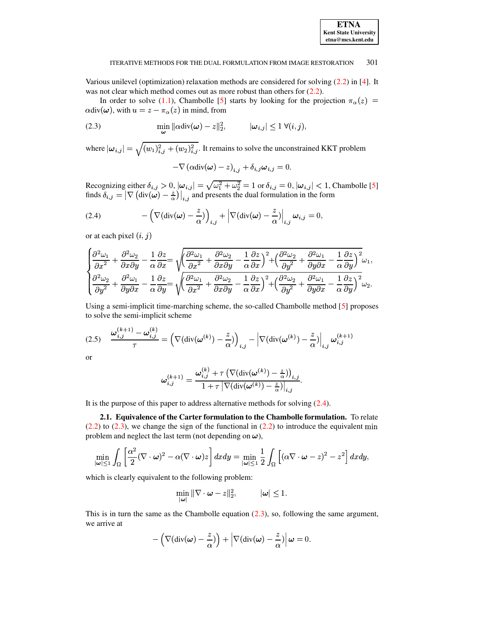| <b>ETNA</b>                  |
|------------------------------|
| <b>Kent State University</b> |
| etna@mcs.kent.edu            |

\$

### ITERATIVE METHODS FOR THE DUAL FORMULATION FROM IMAGE RESTORATION 301

Various unilevel (optimization) relaxation methods are considered for solving [\(2.2\)](#page-1-2) in [\[4\]](#page-12-13). It was not clear which method comes out as more robust than others for  $(2.2)$ .

In order to solve [\(1.1\)](#page-0-0), Chambolle [\[5\]](#page-12-10) starts by looking for the projection  $\pi_{\alpha}(z)$  =  $div(\omega)$ , with  $u = z - \pi_{\alpha}(z)$  in mind, from

<span id="page-2-1"></span>(2.3) 
$$
\min_{\boldsymbol{\omega}} \|\alpha \operatorname{div}(\boldsymbol{\omega}) - z\|_2^2, \qquad |\boldsymbol{\omega}_{i,j}| \leq 1 \ \forall (i,j),
$$

where  $|\omega_{i,j}| = \sqrt{(w_1)_{i,j}^2 + (w_2)_{i,j}^2}$ . It remains to solve the unconstrained KKT problem

$$
-\nabla \left(\alpha \mathrm{div}(\boldsymbol{\omega}) - z\right)_{i,j} + \delta_{i,j} \boldsymbol{\omega}_{i,j} = 0.
$$

Recognizing either  $\delta_{i,j} > 0$ ,  $|\omega_{i,j}| = \sqrt{\omega_1^2 + \omega_2^2} = 1$  or  $\delta_{i,j} = 0$ ,  $|\omega_{i,j}| < 1$ , Chambolle [\[5\]](#page-12-10) finds  $\delta_{i,j} = |\nabla (\text{div}(\boldsymbol{\omega}) - \frac{z}{\alpha})|_{i,j}$  and presents the dual formulation in the form

<span id="page-2-0"></span>(2.4) 
$$
-\left(\nabla(\text{div}(\boldsymbol{\omega})-\frac{z}{\alpha})\right)_{i,j}+\left|\nabla(\text{div}(\boldsymbol{\omega})-\frac{z}{\alpha})\right|_{i,j}\boldsymbol{\omega}_{i,j}=0,
$$

or at each pixel  $(i, j)$ 

$$
\begin{cases} \frac{\partial^2\omega_1}{\partial x^2} + \frac{\partial^2\omega_2}{\partial x \partial y} - \frac{1}{\alpha} \frac{\partial z}{\partial x} = \sqrt{\left(\frac{\partial^2\omega_1}{\partial x^2} + \frac{\partial^2\omega_2}{\partial x \partial y} - \frac{1}{\alpha} \frac{\partial z}{\partial x}\right)^2 + \left(\frac{\partial^2\omega_2}{\partial y^2} + \frac{\partial^2\omega_1}{\partial y \partial x} - \frac{1}{\alpha} \frac{\partial z}{\partial y}\right)^2} \omega_1, \\ \frac{\partial^2\omega_2}{\partial y^2} + \frac{\partial^2\omega_1}{\partial y \partial x} - \frac{1}{\alpha} \frac{\partial z}{\partial y} = \sqrt{\left(\frac{\partial^2\omega_1}{\partial x^2} + \frac{\partial^2\omega_2}{\partial x \partial y} - \frac{1}{\alpha} \frac{\partial z}{\partial x}\right)^2 + \left(\frac{\partial^2\omega_2}{\partial y^2} + \frac{\partial^2\omega_1}{\partial y \partial x} - \frac{1}{\alpha} \frac{\partial z}{\partial y}\right)^2} \omega_2. \end{cases}
$$

Using a semi-implicit time-marching scheme, the so-called Chambolle method [\[5\]](#page-12-10) proposes to solve the semi-implicit scheme

<span id="page-2-2"></span>
$$
(2.5) \quad \frac{\omega_{i,j}^{(k+1)} - \omega_{i,j}^{(k)}}{\tau} = \left(\nabla(\text{div}(\omega^{(k)}) - \frac{z}{\alpha})\right)_{i,j} - \left|\nabla(\text{div}(\omega^{(k)}) - \frac{z}{\alpha})\right|_{i,j} \omega_{i,j}^{(k+1)}
$$

or

$$
\boldsymbol{\omega}^{(k+1)}_{i,j} = \frac{\boldsymbol{\omega}^{(k)}_{i,j} + \tau \left(\nabla(\text{div}(\boldsymbol{\omega}^{(k)}) - \frac{z}{\alpha})\right)_{i,j}}{1 + \tau \left|\nabla(\text{div}(\boldsymbol{\omega}^{(k)}) - \frac{z}{\alpha}\right)\right|_{i,j}}.
$$

It is the purpose of this paper to address alternative methods for solving [\(2.4\)](#page-2-0).

**2.1. Equivalence of the Carter formulation to the Chambolle formulation.** To relate  $(2.2)$  to  $(2.3)$ , we change the sign of the functional in  $(2.2)$  to introduce the equivalent min problem and neglect the last term (not depending on  $\omega$ ),

$$
\min_{|\boldsymbol{\omega}| \leq 1} \int_{\Omega} \left[ \frac{\alpha^2}{2} (\nabla \cdot \boldsymbol{\omega})^2 - \alpha (\nabla \cdot \boldsymbol{\omega}) z \right] dx dy = \min_{|\boldsymbol{\omega}| \leq 1} \frac{1}{2} \int_{\Omega} \left[ (\alpha \nabla \cdot \boldsymbol{\omega} - z)^2 - z^2 \right] dx dy,
$$

which is clearly equivalent to the following problem:

$$
\min_{|\boldsymbol{\omega}|} \|\nabla \cdot \boldsymbol{\omega} - z\|_2^2, \qquad \quad |\boldsymbol{\omega}| \le 1.
$$

This is in turn the same as the Chambolle equation  $(2.3)$ , so, following the same argument, we arrive at

$$
-\left(\nabla(\text{div}(\boldsymbol{\omega})-\frac{z}{\alpha})\right)+\left|\nabla(\text{div}(\boldsymbol{\omega})-\frac{z}{\alpha})\right|\boldsymbol{\omega}=0.
$$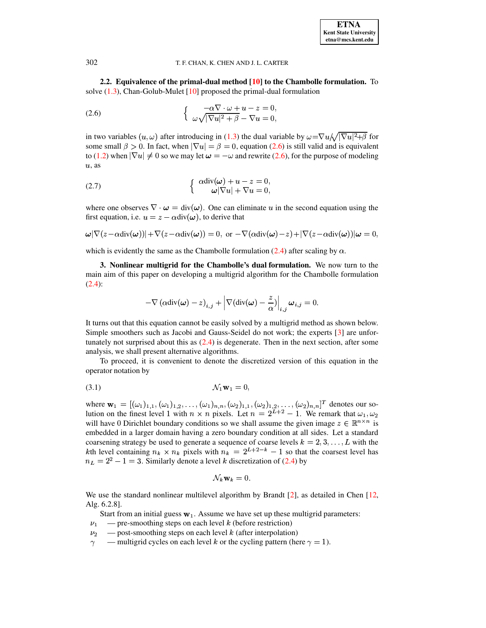**2.2. Equivalence of the primal-dual method [\[10\]](#page-12-14) to the Chambolle formulation.** To solve  $(1.3)$ , Chan-Golub-Mulet  $[10]$  proposed the primal-dual formulation

<span id="page-3-0"></span>(2.6) 
$$
\begin{cases} -\alpha \nabla \cdot \omega + u - z = 0, \\ \omega \sqrt{|\nabla u|^2 + \beta} - \nabla u = 0, \end{cases}
$$

in two variables  $(u, \omega)$  after introducing in [\(1.3\)](#page-0-2) the dual variable by  $\omega = \nabla u / \sqrt{|\nabla u|^2 + \beta}$  for some small  $\beta > 0$ . In fact, when  $|\nabla u| = \beta = 0$ , equation [\(2.6\)](#page-3-0) is still valid and is equivalent to [\(1.2\)](#page-0-1) when  $|\nabla u| \neq 0$  so we may let  $\omega = -\omega$  and rewrite [\(2.6\)](#page-3-0), for the purpose of modeling  $u$ , as

<span id="page-3-2"></span>(2.7) 
$$
\begin{cases} \alpha \operatorname{div}(\boldsymbol{\omega}) + u - z = 0, \\ \boldsymbol{\omega}|\nabla u| + \nabla u = 0, \end{cases}
$$

where one observes  $\nabla \cdot \boldsymbol{\omega} = \text{div}(\boldsymbol{\omega})$ . One can eliminate u in the second equation using the first equation, i.e.  $u = z - \alpha \text{div}(\omega)$ , to derive that

$$
\omega|\nabla(z-\alpha\mathrm{div}(\boldsymbol{\omega}))|+\nabla(z-\alpha\mathrm{div}(\boldsymbol{\omega}))=0, \text{ or } -\nabla(\alpha\mathrm{div}(\boldsymbol{\omega})-z)+|\nabla(z-\alpha\mathrm{div}(\boldsymbol{\omega}))|\boldsymbol{\omega}=0,
$$

which is evidently the same as the Chambolle formulation [\(2.4\)](#page-2-0) after scaling by  $\alpha$ .

**3. Nonlinear multigrid for the Chambolle's dual formulation.** We now turn to the main aim of this paper on developing a multigrid algorithm for the Chambolle formulation [\(2.4\)](#page-2-0):

$$
-\nabla \left(\alpha \mathrm{div}(\boldsymbol{\omega}) - z\right)_{i,j} + \left|\nabla(\mathrm{div}(\boldsymbol{\omega}) - \frac{z}{\alpha})\right|_{i,j} \boldsymbol{\omega}_{i,j} = 0.
$$

It turns out that this equation cannot be easily solved by a multigrid method as shown below. Simple smoothers such as Jacobi and Gauss-Seidel do not work; the experts [\[3\]](#page-12-16) are unfortunately not surprised about this as [\(2.4\)](#page-2-0) is degenerate. Then in the next section, after some analysis, we shall present alternative algorithms.

To proceed, it is convenient to denote the discretized version of this equation in the operator notation by

<span id="page-3-1"></span>
$$
\mathcal{N}_1 \mathbf{w}_1 = 0,
$$

where  $\mathbf{w}_1 = [(\omega_1)_{1,1}, (\omega_1)_{1,2}, \ldots, (\omega_1)_{n,n}, (\omega_1)_{n,n}]$  $\{(\omega_1, \omega_2)_{1,1}, (\omega_2)_{1,2}, \ldots, (\omega_2)_{n,n}\}^T$  denotes our sowhere  $w_1 = [\omega_1]_{1,1}, \omega_1]_{1,2}, \ldots, \omega_1]_{n,n}, \omega_2]_{1,1}, \omega_2]_{1,2}, \ldots, \omega_2]_{n,n}$  denotes our so<br>lution on the finest level 1 with  $n \times n$  pixels. Let  $n = 2^{L+2} - 1$ . We remark that  $\omega_1, \omega_2$ will have 0 Dirichlet boundary conditions so we shall assume the given image  $z \in \mathbb{R}^{n \times n}$  is embedded in a larger domain having a zero boundary condition at all sides. Let a standard coarsening strategy be used to generate a sequence of coarse levels  $k = 2, 3, \dots, L$  with the between the stategy between the sequence of coarse levels  $k = 2, 3, \dots, D$  with the set level has kth level containing  $n_k \times n_k$  pixels with  $n_k = 2^{L+2-k} - 1$  so that the coarsest level has  $n_L = 2^2 - 1 = 3$ . Similarly denote a level k discretization of [\(2.4\)](#page-2-0) by

$$
\mathcal{N}_k \mathbf{w}_k = 0.
$$

We use the standard nonlinear multilevel algorithm by Brandt [\[2\]](#page-12-17), as detailed in Chen [\[12,](#page-12-18) Alg. 6.2.8].

Start from an initial guess  $w_1$ . Assume we have set up these multigrid parameters:

- $\nu_1$  pre-smoothing steps on each level k (before restriction)
- $\nu_2$  post-smoothing steps on each level *k* (after interpolation)
- multigrid cycles on each level *k* or the cycling pattern (here  $\gamma = 1$ ).  $\gamma$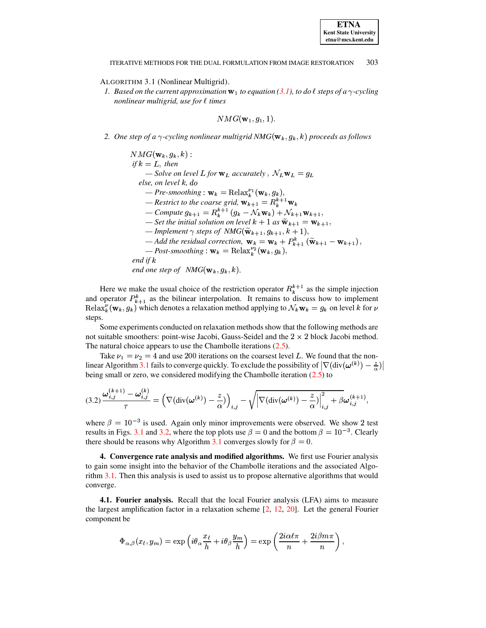# ALGORITHM 3.1 (Nonlinear Multigrid).

*1.* Based on the current approximation  $w_1$  to equation [\(3.1\)](#page-3-1), to do  $\ell$  steps of a  $\gamma$ -cycling *nonlinear multigrid, use for*  $\ell$  *times* 

$$
NMG({\bf w}_1, g_1, 1).
$$

<span id="page-4-0"></span>2. One step of a  $\gamma$ -cycling nonlinear multigrid NMG $(\mathbf{w}_k, g_k, k)$  proceeds as follows

 $if k = L, then$  $\mathbf{w}$   $\mathbf{k}$  ,  $\mathbf{q}$   $\mathbf{k}$  ,  $\mathbf{w}$  ,  $\mathbf{v}$  $= L$ , then<br>
— Solve on level L for  $w_L$  accurately ,  $\mathcal{N}_L w_L = g_L$ *else, on level k, do*  $P$ *Pre-smoothing*:  $\mathbf{w}_k = \text{Relax}_k^{\nu_1}(\mathbf{w}_k, g_k),$ <br>  $P_{\text{cortivit to the source grid, m} = P_k^{\nu_1}$ <sup>ª</sup>  $\begin{aligned} \text{\textendash} \textit{Restrict to the coarse grid,} \ \mathbf{w}_{k+1} = R_k^{k+1} \mathbf{w}_k \\ \text{\textendash} \textit{Compute } g_{k+1} = R_k^{k+1} \left( g_k - \mathcal{N}_k \mathbf{w}_k \right) + \mathcal{N}_{k+1} \mathbf{w}_{k+1}, \\ \text{Set the initial solution on level } k+1 \text{ as } \widetilde{\mathbf{w}}_k \textit{ or } \mathbf{w}_k. \end{aligned}$  $id, \mathbf{w}_{k+1} = R_k^{k+1} \mathbf{w}_k \ (g_k - \mathcal{N}_k \mathbf{w}_k) + \mathcal{N}_{k+1} \mathbf{w}_{k+1},$  $R^{k+1}$   $\mathbf{w}_k$  $m+1$   $m+1$  $\frac{1}{\sqrt{2}}$  Set the initial solution on level  $k + 1$  as  $\tilde{\mathbf{w}}_{k+1} = \mathbf{w}_{k+1}$ ,  $\overline{\text{L}}$  *— Implement*  $\gamma$  *steps of*  $NMG(\widetilde{\mathbf{w}}_{k+1}, g_{k+1}, k)$  $-\text{Add the residual correction, } \mathbf{w}_k = \mathbf{w}_k + P_{k+1}^k(\widetilde{\mathbf{w}}_{k+1} - \mathbf{w}_{k+1}),$ <br> $\text{Part we obtain } \mathbf{w}_k = \mathbf{w}_k + P_{k+1}^k(\widetilde{\mathbf{w}}_{k+1} - \mathbf{w}_{k+1}),$  $,a_{k+1}, k+1,$ <br>  $,a_{k+1}, k+1,$ *Post-smoothing* :  $\mathbf{w}_k = \text{Relax}_{k}^{\omega_2}(\mathbf{w}_k, g_k),$ *end if* <sup>Ã</sup> *end one step of*  $NMG(\mathbf{w}_k, g_k, k)$ .

Here we make the usual choice of the restriction operator  $R_k^{k+1}$  as the simple injection and operator  $P_{k+1}^k$  as the bilinear interpolation. It remains to discuss how to implement  $\text{Relax}_k^{\nu}(\mathbf{w}_k, g_k)$  which denotes a relaxation method applying to  $\mathcal{N}_k \mathbf{w}_k = g_k$  on level k for  $\nu$  $\text{Relax}_k^{\nu}(\mathbf{w}_k, g_k)$  which denotes a relaxation method applying to  $\mathcal{N}_k \mathbf{w}_k = g_k$  on level k for  $\nu$ { steps.

Some experiments conducted on relaxation methods show that the following methods are not suitable smoothers: point-wise Jacobi, Gauss-Seidel and the  $2 \times 2$  block Jacobi method. The natural choice appears to use the Chambolle iterations  $(2.5)$ .

Take  $\nu_1 = \nu_2 = 4$  and use 200 iterations on the coarsest level L. We found that the non-linear Algorithm [3.1](#page-4-0) fails to converge quickly. To exclude the possibility of  $\nabla$  (div $(\omega^{(k)}) - \frac{z}{\alpha}$ ) being small or zero, we considered modifying the Chambolle iteration [\(2.5\)](#page-2-2) to

<span id="page-4-1"></span>
$$
(3.2)\frac{\boldsymbol{\omega}_{i,j}^{(k+1)}-\boldsymbol{\omega}_{i,j}^{(k)}}{\tau}=\left(\nabla(\mathrm{div}(\boldsymbol{\omega}^{(k)})-\frac{z}{\alpha})\right)_{i,j}-\sqrt{\left|\nabla(\mathrm{div}(\boldsymbol{\omega}^{(k)})-\frac{z}{\alpha})\right|_{i,j}^2+\beta}\boldsymbol{\omega}_{i,j}^{(k+1)},
$$

where  $\beta = 10^{-3}$  is used. Again only minor improvements were observed. We show 2 test results in Figs. [3.1](#page-5-0) and [3.2,](#page-5-1) where the top plots use  $\beta = 0$  and the bottom  $\beta = 10^{-3}$ . Clearly there should be reasons why Algorithm [3.1](#page-4-0) converges slowly for  $\beta = 0$ .

**4. Convergence rate analysis and modified algorithms.** We first use Fourier analysis to gain some insight into the behavior of the Chambolle iterations and the associated Algorithm [3.1.](#page-4-0) Then this analysis is used to assist us to propose alternative algorithms that would converge.

**4.1. Fourier analysis.** Recall that the local Fourier analysis (LFA) aims to measure the largest amplification factor in a relaxation scheme [\[2,](#page-12-17) [12,](#page-12-18) [20\]](#page-12-19). Let the general Fourier component be

$$
\Phi_{\alpha,\beta}(x_\ell,y_m)=\exp\left(i\theta_\alpha\frac{x_\ell}{h}+i\theta_\beta\frac{y_m}{h}\right)=\exp\left(\frac{2i\alpha\ell\pi}{n}+\frac{2i\beta m\pi}{n}\right),
$$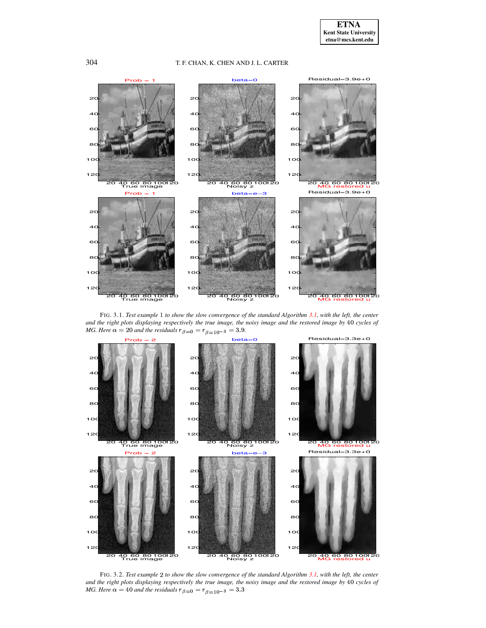

<span id="page-5-0"></span>FIG. 3.1. Test example 1 to show the slow convergence of the standard Algorithm 3.1, with the left, the center and the right plots displaying respectively the true image, the noisy image and the restored image by 40 cycles of MG. Here  $\alpha = 20$  and the residuals  $r_{\beta=0} = r_{\beta=10^{-3}} = 3.9$ .



<span id="page-5-1"></span>FIG. 3.2. Test example 2 to show the slow convergence of the standard Algorithm 3.1, with the left, the center and the right plots displaying respectively the true image, the noisy image and the restored image by 40 cycles of MG. Here  $\alpha = 40$  and the residuals  $r_{\beta=0} = r_{\beta=10^{-3}} = 3.3$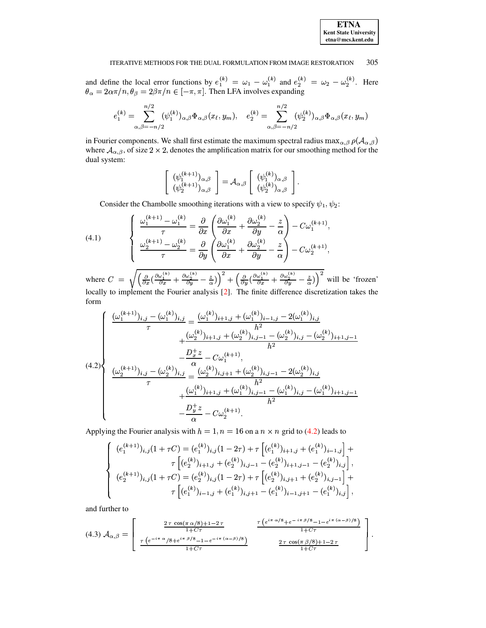| <b>ETNA</b>                  |
|------------------------------|
| <b>Kent State University</b> |
| etna@mcs.kent.edu            |

and define the local error functions by  $e_1^{(k)} = \omega_1 - \omega_1^{(k)}$  and  $e_2^{(k)} = \omega_2 - \omega_2^{(k)}$ . Here  $\theta_{\alpha} = 2\alpha\pi/n, \theta_{\beta} = 2\beta\pi/n \in [-\pi, \pi]$ . Then LFA involves expanding

$$
e_1^{(k)} = \sum_{\alpha,\beta=-n/2}^{n/2} (\psi_1^{(k)})_{\alpha,\beta} \Phi_{\alpha,\beta}(x_\ell, y_m), \quad e_2^{(k)} = \sum_{\alpha,\beta=-n/2}^{n/2} (\psi_2^{(k)})_{\alpha,\beta} \Phi_{\alpha,\beta}(x_\ell, y_m)
$$

in Fourier components. We shall first estimate the maximum spectral radius max $_{\alpha,\beta}$   $\rho(\mathcal{A}_{\alpha,\beta})$ where  $A_{\alpha,\beta}$ , of size 2 × 2, denotes the amplification matrix for our smoothing method for the dual system:

$$
\begin{bmatrix}\n(\psi_1^{(k+1)})_{\alpha,\beta} \\
(\psi_2^{(k+1)})_{\alpha,\beta}\n\end{bmatrix} = \mathcal{A}_{\alpha,\beta} \begin{bmatrix}\n(\psi_1^{(k)})_{\alpha,\beta} \\
(\psi_2^{(k)})_{\alpha,\beta}\n\end{bmatrix}.
$$

Consider the Chambolle smoothing iterations with a view to specify  $\psi_1, \psi_2$ :

<span id="page-6-1"></span>(4.1) 
$$
\begin{cases} \frac{\omega_1^{(k+1)} - \omega_1^{(k)}}{\tau} = \frac{\partial}{\partial x} \left( \frac{\partial \omega_1^{(k)}}{\partial x} + \frac{\partial \omega_2^{(k)}}{\partial y} - \frac{z}{\alpha} \right) - C \omega_1^{(k+1)}, \\ \frac{\omega_2^{(k+1)} - \omega_2^{(k)}}{\tau} = \frac{\partial}{\partial y} \left( \frac{\partial \omega_1^{(k)}}{\partial x} + \frac{\partial \omega_2^{(k)}}{\partial y} - \frac{z}{\alpha} \right) - C \omega_2^{(k+1)}, \end{cases}
$$

where  $C = \sqrt{\left(\frac{\partial}{\partial x}\left(\frac{\partial \omega_1^{(k)}}{\partial x} + \frac{\partial \omega_2^{(k)}}{\partial y} - \frac{z}{\alpha}\right)\right)^2 + \left(\frac{\partial}{\partial y}\left(\frac{\partial \omega_1^{(k)}}{\partial x} + \frac{\partial \omega_2^{(k)}}{\partial y} - \frac{z}{\alpha}\right)\right)^2}$  will be 'frozen' locally to implement the Fourier analysis [2]. The finite difference discretization takes the form

<span id="page-6-0"></span>
$$
(4.2)
$$
\n
$$
\begin{cases}\n\frac{(\omega_1^{(k+1)})_{i,j} - (\omega_1^{(k)})_{i,j}}{\tau} = \frac{(\omega_1^{(k)})_{i+1,j} + (\omega_1^{(k)})_{i-1,j} - 2(\omega_1^{(k)})_{i,j}}{h^2} \\
-\frac{(\omega_2^{(k)})_{i+1,j} + (\omega_2^{(k)})_{i,j-1} - (\omega_2^{(k)})_{i,j} - (\omega_2^{(k)})_{i+1,j-1}}{h^2} \\
\frac{(\omega_2^{(k+1)})_{i,j} - (\omega_2^{(k)})_{i,j}}{\tau} = \frac{(\omega_2^{(k)})_{i,j+1} + (\omega_2^{(k)})_{i,j-1} - 2(\omega_2^{(k)})_{i,j}}{h^2} \\
+\frac{(\omega_1^{(k)})_{i+1,j} + (\omega_1^{(k)})_{i,j-1} - (\omega_1^{(k)})_{i,j} - (\omega_1^{(k)})_{i+1,j-1}}{h^2} \\
-\frac{D_y^+ z}{\alpha} - C\omega_2^{(k+1)}.\n\end{cases}
$$

Applying the Fourier analysis with  $h = 1$ ,  $n = 16$  on a  $n \times n$  grid to (4.2) leads to

$$
\begin{cases}\n(e_1^{(k+1)})_{i,j}(1+\tau C) = (e_1^{(k)})_{i,j}(1-2\tau) + \tau \left[ (e_1^{(k)})_{i+1,j} + (e_1^{(k)})_{i-1,j} \right] + \\
\tau \left[ (e_2^{(k)})_{i+1,j} + (e_2^{(k)})_{i,j-1} - (e_2^{(k)})_{i+1,j-1} - (e_2^{(k)})_{i,j} \right], \\
(e_2^{(k+1)})_{i,j}(1+\tau C) = (e_2^{(k)})_{i,j}(1-2\tau) + \tau \left[ (e_2^{(k)})_{i,j+1} + (e_2^{(k)})_{i,j-1} \right] + \\
\tau \left[ (e_1^{(k)})_{i-1,j} + (e_1^{(k)})_{i,j+1} - (e_1^{(k)})_{i-1,j+1} - (e_1^{(k)})_{i,j} \right],\n\end{cases}
$$

and further to

$$
(4.3) \ \mathcal{A}_{\alpha,\beta} = \left[ \begin{array}{cc} \frac{2 \,\tau \, \cos(\pi \, \alpha/8) + 1 - 2 \,\tau}{1 + C \,\tau} & \frac{\tau \left( e^{i \pi \, \alpha/8} + e^{-i \pi \, \beta/8} - 1 - e^{i \pi \, (\alpha - \beta)/8} \right)}{1 + C \,\tau} \\ \frac{\tau \left( e^{-i \pi \, \alpha} / 8 + e^{i \pi \, \beta/8} - 1 - e^{-i \pi \, (\alpha - \beta)/8} \right)}{1 + C \,\tau} & \frac{2 \,\tau \, \cos(\pi \, \beta/8) + 1 - 2 \,\tau}{1 + C \,\tau} \end{array} \right]
$$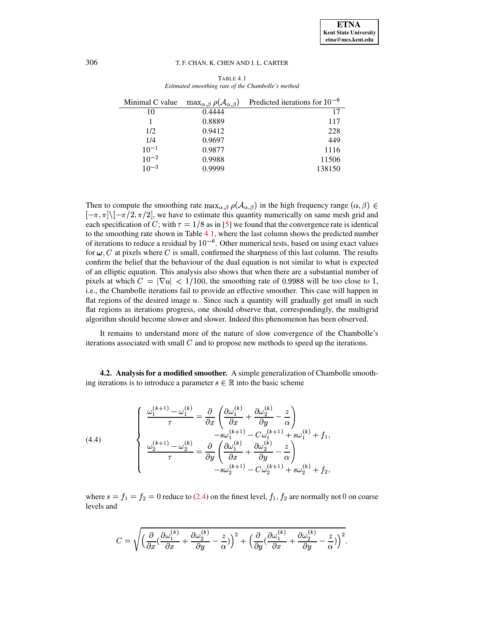<span id="page-7-0"></span>

| Minimal C value | $\max_{\alpha,\beta} \rho(\mathcal{A}_{\alpha,\beta})$ | Predicted iterations for $10^{-6}$ |
|-----------------|--------------------------------------------------------|------------------------------------|
| 10              | 0.4444                                                 | 17                                 |
|                 | 0.8889                                                 | 117                                |
| 1/2             | 0.9412                                                 | 228                                |
| 1/4             | 0.9697                                                 | 449                                |
| $10^{-1}$       | 0.9877                                                 | 1116                               |
| $10^{-2}$       | 0.9988                                                 | 11506                              |
| $10^{-3}$       | 0.9999                                                 | 138150                             |

TABLE 4.1 *Estimated smoothing rate of the Chambolle's method*

Then to compute the smoothing rate  $\max_{\alpha,\beta} \rho(A_{\alpha,\beta})$  in the high frequency range  $(\alpha,\beta) \in$  $[\pi, \pi] \setminus [-\pi/2, \pi/2]$ , we have to estimate this quantity numerically on same mesh grid and  $\begin{bmatrix} 1 & n_1 \\ n_2 & n_3 \\ n_4 \end{bmatrix}$  with  $\tau = 1/8$  as in [\[5\]](#page-12-10) we found that the convergence rate is identical to the smoothing rate shown in Table [4.1,](#page-7-0) where the last column shows the predicted number for the smoothing rate shown in Taste  $\frac{11}{11}$ , where the fast column shows the predicted named of iterations to reduce a residual by  $10^{-6}$ . Other numerical tests, based on using exact values for  $\omega$ , C at pixels where C is small, confirmed the sharpness of this last column. The results of  $\omega$ , C at pixels where C is small, confirmed the sharpness of this last column. The results confirm the belief that the behaviour of the dual equation is not similar to what is expected of an elliptic equation. This analysis also shows that when there are a substantial number of be an empire equation. This analysis also shows that when there are a substantial number of pixels at which  $C = |\nabla u| < 1/100$ , the smoothing rate of 0.9988 will be too close to 1, i.e., the Chambolle iterations fail to provide an effective smoother. This case will happen in Fig., the challfolio fictuations ran to provide an encelive smoother. This case with happen in<br>flat regions of the desired image u. Since such a quantity will gradually get small in such flat regions as iterations progress, one should observe that, correspondingly, the multigrid algorithm should become slower and slower. Indeed this phenomenon has been observed.

It remains to understand more of the nature of slow convergence of the Chambolle's It remains to anderstand more of the nature of slow convergence of the entantions iterations associated with small  $C$  and to propose new methods to speed up the iterations.

**4.2. Analysis for a modified smoother.** A simple generalization of Chambolle smoothing iterations is to introduce a parameter  $s \in \mathbb{R}$  into the basic scheme

<span id="page-7-1"></span>(4.4)  

$$
\begin{cases}\n\frac{\omega_1^{(k+1)} - \omega_1^{(k)}}{\tau} = \frac{\partial}{\partial x} \left( \frac{\partial \omega_1^{(k)}}{\partial x} + \frac{\partial \omega_2^{(k)}}{\partial y} - \frac{z}{\alpha} \right) \\
- s\omega_1^{(k+1)} - C\omega_1^{(k+1)} + s\omega_1^{(k)} + f_1, \\
\frac{\omega_2^{(k+1)} - \omega_2^{(k)}}{\tau} = \frac{\partial}{\partial y} \left( \frac{\partial \omega_1^{(k)}}{\partial x} + \frac{\partial \omega_2^{(k)}}{\partial y} - \frac{z}{\alpha} \right) \\
-s\omega_2^{(k+1)} - C\omega_2^{(k+1)} + s\omega_2^{(k)} + f_2,\n\end{cases}
$$

where  $s = f_1 = f_2 = 0$  reduce to [\(2.4\)](#page-2-0) on the finest level,  $f_1, f_2$  are normal  $_2$  are normally not 0 on coarse levels and

$$
C=\sqrt{\Big(\frac{\partial}{\partial x}(\frac{\partial \omega_1^{(k)}}{\partial x}+\frac{\partial \omega_2^{(k)}}{\partial y}-\frac{z}{\alpha})\Big)^2+\Big(\frac{\partial}{\partial y}(\frac{\partial \omega_1^{(k)}}{\partial x}+\frac{\partial \omega_2^{(k)}}{\partial y}-\frac{z}{\alpha})\Big)^2}.
$$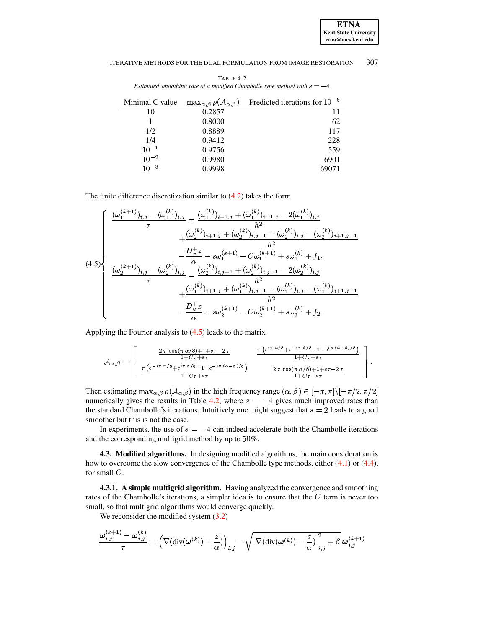TABLE 4.2 Estimated smoothing rate of a modified Chambolle type method with  $s = -4$ 

<span id="page-8-1"></span>

| Minimal C value | $\max_{\alpha,\beta} \rho(\mathcal{A}_{\alpha,\beta})$ | Predicted iterations for $10^{-6}$ |
|-----------------|--------------------------------------------------------|------------------------------------|
| 10              | 0.2857                                                 | 11                                 |
|                 | 0.8000                                                 | 62                                 |
| 1/2             | 0.8889                                                 | 117                                |
| 1/4             | 0.9412                                                 | 228                                |
| $10^{-1}$       | 0.9756                                                 | 559                                |
| $10^{-2}$       | 0.9980                                                 | 6901                               |
| $10^{-3}$       | 0.9998                                                 | 69071                              |

The finite difference discretization similar to  $(4.2)$  takes the form

<span id="page-8-0"></span>
$$
(4.5)
$$
\n
$$
\begin{cases}\n\frac{(\omega_1^{(k+1)})_{i,j} - (\omega_1^{(k)})_{i,j}}{\tau} = \frac{(\omega_1^{(k)})_{i+1,j} + (\omega_1^{(k)})_{i-1,j} - 2(\omega_1^{(k)})_{i,j}}{h^2} \\
+ \frac{(\omega_2^{(k)})_{i+1,j} + (\omega_2^{(k)})_{i,j-1} - (\omega_2^{(k)})_{i,j} - (\omega_2^{(k)})_{i+1,j-1}}{h^2} \\
-\frac{D_x^+ z}{\alpha} - s\omega_1^{(k+1)} - C\omega_1^{(k+1)} + s\omega_1^{(k)} + f_1, \\
\frac{(\omega_2^{(k+1)})_{i,j} - (\omega_2^{(k)})_{i,j}}{\tau} = \frac{(\omega_2^{(k)})_{i,j+1} + (\omega_2^{(k)})_{i,j-1} - 2(\omega_2^{(k)})_{i,j}}{h^2} \\
+ \frac{(\omega_1^{(k)})_{i+1,j} + (\omega_1^{(k)})_{i,j-1} - (\omega_1^{(k)})_{i,j} - (\omega_1^{(k)})_{i+1,j-1}}{h^2} \\
-\frac{D_y^+ z}{\alpha} - s\omega_2^{(k+1)} - C\omega_2^{(k+1)} + s\omega_2^{(k)} + f_2.\n\end{cases}
$$

Applying the Fourier analysis to  $(4.5)$  leads to the matrix

$$
\mathcal{A}_{\alpha,\beta} = \begin{bmatrix}\n\frac{2 \tau \cos(\pi \alpha/8) + 1 + s\tau - 2\tau}{1 + C\tau + s\tau} & \frac{\tau (e^{i\pi \alpha/8} + e^{-i\pi \beta/8} - 1 - e^{i\pi (\alpha - \beta)/8})}{1 + C\tau + s\tau} \\
\frac{\tau (e^{-i\pi \alpha/8} + e^{i\pi \beta/8} - 1 - e^{-i\pi (\alpha - \beta)/8})}{1 + C\tau + s\tau} & \frac{2 \tau \cos(\pi \beta/8) + 1 + s\tau - 2\tau}{1 + C\tau + s\tau}\n\end{bmatrix}
$$

Then estimating  $\max_{\alpha,\beta} \rho(\mathcal{A}_{\alpha,\beta})$  in the high frequency range  $(\alpha,\beta) \in [-\pi,\pi]\setminus [-\pi/2,\pi/2]$ numerically gives the results in Table 4.2, where  $s = -4$  gives much improved rates than the standard Chambolle's iterations. Intuitively one might suggest that  $s = 2$  leads to a good smoother but this is not the case.

In experiments, the use of  $s = -4$  can indeed accelerate both the Chambolle iterations and the corresponding multigrid method by up to 50%.

4.3. Modified algorithms. In designing modified algorithms, the main consideration is how to overcome the slow convergence of the Chambolle type methods, either  $(4.1)$  or  $(4.4)$ , for small  $C$ .

4.3.1. A simple multigrid algorithm. Having analyzed the convergence and smoothing rates of the Chambolle's iterations, a simpler idea is to ensure that the  $C$  term is never too small, so that multigrid algorithms would converge quickly.

We reconsider the modified system  $(3.2)$ 

$$
\frac{\boldsymbol{\omega}_{i,j}^{(k+1)}-\boldsymbol{\omega}_{i,j}^{(k)}}{\tau}=\left(\nabla(\mathrm{div}(\boldsymbol{\omega}^{(k)})-\frac{z}{\alpha})\right)_{i,j}-\sqrt{\left|\nabla(\mathrm{div}(\boldsymbol{\omega}^{(k)})-\frac{z}{\alpha})\right|_{i,j}^2+\beta}~\boldsymbol{\omega}_{i,j}^{(k+1)}
$$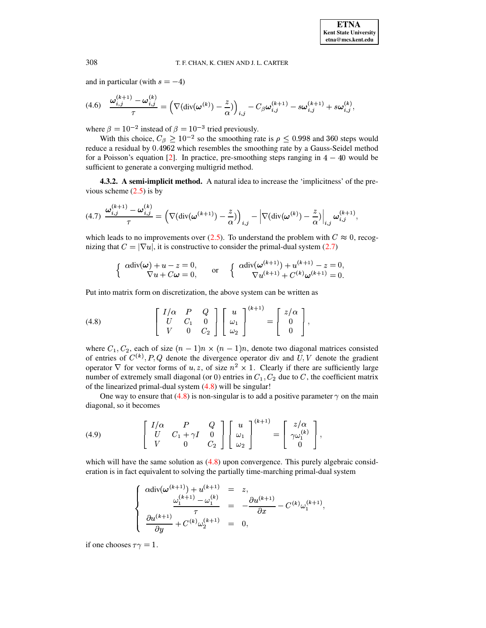and in particular (with  $s = -4$ )

<span id="page-9-1"></span>
$$
(4.6) \quad \frac{\omega_{i,j}^{(k+1)} - \omega_{i,j}^{(k)}}{\tau} = \left( \nabla(\text{div}(\omega^{(k)}) - \frac{z}{\alpha}) \right)_{i,j} - C_{\beta} \omega_{i,j}^{(k+1)} - s \omega_{i,j}^{(k+1)} + s \omega_{i,j}^{(k)},
$$

where  $\beta = 10^{-2}$  instead of  $\beta = 10^{-3}$  tried previously.

With this choice,  $C_{\beta} \ge 10^{-2}$  so the smoothing rate is  $\rho \le 0.998$  and 360 steps would reduce a residual by 0.4962 which resembles the smoothing rate by a Gauss-Seidel method for a Poisson's equation  $[2]$ . In practice, pre-smoothing steps ranging in  $4 - 40$  would be sufficient to generate a converging multigrid method.

**4.3.2. A semi-implicit method.** A natural idea to increase the 'implicitness' of the previous scheme  $(2.5)$  is by

$$
(4.7)\ \frac{\omega_{i,j}^{(k+1)}-\omega_{i,j}^{(k)}}{\tau}=\left(\nabla(\text{div}(\omega^{(k+1)})-\frac{z}{\alpha})\right)_{i,j}-\left|\nabla(\text{div}(\omega^{(k)})-\frac{z}{\alpha})\right|_{i,j}\omega_{i,j}^{(k+1)},
$$

which leads to no improvements over [\(2.5\)](#page-2-2). To understand the problem with  $C \approx 0$ , recogwhich ideas to no improvements over  $(2.5)$ . To understand the problem with  $\bar{C}$  is not been increased in the primal-dual system [\(2.7\)](#page-3-2)

$$
\begin{cases}\n\alpha \operatorname{div}(\boldsymbol{\omega}) + u - z = 0, \\
\nabla u + C \boldsymbol{\omega} = 0,\n\end{cases}\n\text{ or }\n\begin{cases}\n\alpha \operatorname{div}(\boldsymbol{\omega}^{(k+1)}) + u^{(k+1)} - z = 0, \\
\nabla u^{(k+1)} + C^{(k)} \boldsymbol{\omega}^{(k+1)} = 0.\n\end{cases}
$$

Put into matrix form on discretization, the above system can be written as

<span id="page-9-0"></span>
$$
(4.8) \qquad \qquad \begin{bmatrix} I/\alpha & P & Q \\ U & C_1 & 0 \\ V & 0 & C_2 \end{bmatrix} \begin{bmatrix} u \\ \omega_1 \\ \omega_2 \end{bmatrix}^{(k+1)} = \begin{bmatrix} z/\alpha \\ 0 \\ 0 \end{bmatrix},
$$

where  $C_1, C_2$ , each of s ,  $C_2$ , each of size  $(n-1)n \times (n-1)n$ , denote two diagonal matrices consisted of entries of  $C^{(k)}$ ,  $P$ ,  $Q$  denote the divergence operator div and  $U$ ,  $V$  denote the gradient operator  $\nabla$  for vector forms of u, z, of size  $n^2 \times 1$ . Clearly if there are sufficiently large number of extremely small diagonal (or 0) entries in  $C_1$ ,  $C_2$  due to C, the coefficient matrix of the linearized primal-dual system [\(4.8\)](#page-9-0) will be singular!

One way to ensure that  $(4.8)$  is non-singular is to add a positive parameter  $\gamma$  on the main diagonal, so it becomes

<span id="page-9-2"></span>
$$
(4.9) \qquad \qquad \begin{bmatrix} I/\alpha & P & Q \\ U & C_1 + \gamma I & 0 \\ V & 0 & C_2 \end{bmatrix} \begin{bmatrix} u \\ \omega_1 \\ \omega_2 \end{bmatrix}^{(k+1)} = \begin{bmatrix} z/\alpha \\ \gamma \omega_1^{(k)} \\ 0 \end{bmatrix},
$$

which will have the same solution as  $(4.8)$  upon convergence. This purely algebraic consideration is in fact equivalent to solving the partially time-marching primal-dual system

$$
\left\{\begin{array}{rcl} \alpha {\rm div}(\omega^{(k+1)})+u^{(k+1)}&=&z,\\ \frac{\omega^{(k+1)}_1-\omega^{(k)}_1}{\tau}&=&-\frac{\partial u^{(k+1)}}{\partial x}-C^{(k)}\omega^{(k+1)}_1,\\ \frac{\partial u^{(k+1)}}{\partial y}+C^{(k)}\omega^{(k+1)}_2&=&0,\end{array}\right.
$$

if one chooses  $\tau \gamma = 1$ .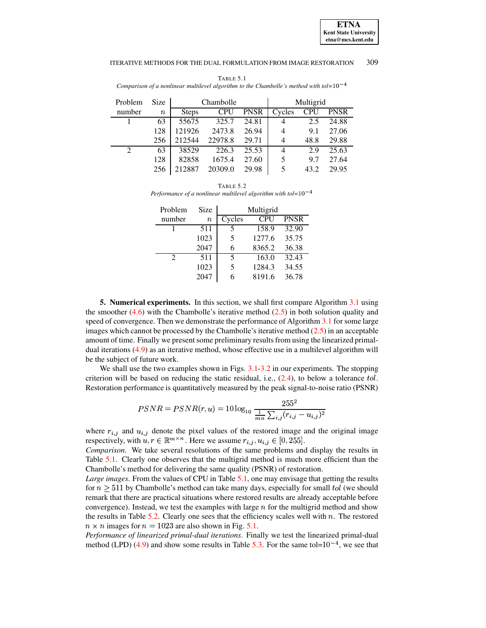<span id="page-10-0"></span>

| Problem                     | <b>Size</b> | Chambolle    |            |             |        | Multigrid  |             |
|-----------------------------|-------------|--------------|------------|-------------|--------|------------|-------------|
| number                      | $\it n$     | <b>Steps</b> | <b>CPU</b> | <b>PNSR</b> | Cycles | <b>CPU</b> | <b>PNSR</b> |
|                             | 63          | 55675        | 325.7      | 24.81       | 4      | 2.5        | 24.88       |
|                             | 128         | 121926       | 2473.8     | 26.94       | 4      | 9.1        | 27.06       |
|                             | 256         | 212544       | 22978.8    | 29.71       | 4      | 48.8       | 29.88       |
| $\mathcal{D}_{\mathcal{L}}$ | 63          | 38529        | 226.3      | 25.53       | 4      | 2.9        | 25.63       |
|                             | 128         | 82858        | 1675.4     | 27.60       | 5      | 9.7        | 27.64       |
|                             | 256         | 212887       | 20309.0    | 29.98       | 5      | 43.2       | 29.95       |

TABLE 5.1 *Comparison of a nonlinear multilevel algorithm to the Chambolle's method with tol=* $10^{-4}$ 

<span id="page-10-1"></span>

| TABLE 5.2                                                           |  |
|---------------------------------------------------------------------|--|
| Performance of a nonlinear multilevel algorithm with tol= $10^{-4}$ |  |

| Problem                     | Size             | Multigrid |            |             |  |
|-----------------------------|------------------|-----------|------------|-------------|--|
| number                      | $\boldsymbol{n}$ | Cycles    | <b>CPU</b> | <b>PNSR</b> |  |
|                             | 511              | 5         | 158.9      | 32.90       |  |
|                             | 1023             | 5         | 1277.6     | 35.75       |  |
|                             | 2047             | 6         | 8365.2     | 36.38       |  |
| $\mathcal{D}_{\mathcal{L}}$ | 511              | 5         | 163.0      | 32.43       |  |
|                             | 1023             | 5         | 1284.3     | 34.55       |  |
|                             | 2047             |           | 8191.6     | 36.78       |  |

**5. Numerical experiments.** In this section, we shall first compare Algorithm [3.1](#page-4-0) using the smoother  $(4.6)$  with the Chambolle's iterative method  $(2.5)$  in both solution quality and speed of convergence. Then we demonstrate the performance of Algorithm [3.1](#page-4-0) for some large images which cannot be processed by the Chambolle's iterative method  $(2.5)$  in an acceptable amount of time. Finally we present some preliminary results from using the linearized primaldual iterations [\(4.9\)](#page-9-2) as an iterative method, whose effective use in a multilevel algorithm will be the subject of future work.

We shall use the two examples shown in Figs. [3.1](#page-5-0)[-3.2](#page-5-1) in our experiments. The stopping criterion will be based on reducing the static residual, i.e.,  $(2.4)$ , to below a tolerance tol. Restoration performance is quantitatively measured by the peak signal-to-noise ratio (PSNR)

$$
PSNR = PSNR(r, u) = 10 \log_{10} \frac{255^2}{\frac{1}{mn} \sum_{i,j} (r_{i,j} - u_{i,j})^2}
$$

where  $r_{i,j}$  and  $u_{i,j}$  denote the pixel values of the restored image and the original image where  $r_{i,j}$  and  $u_{i,j}$  denote the pixel values of the restored image and the respectively, with  $u, r \in \mathbb{R}^{m \times n}$ . Here we assume  $r_{i,j}, u_{i,j} \in [0, 255]$ .

*Comparison*. We take several resolutions of the same problems and display the results in Table [5.1.](#page-10-0) Clearly one observes that the multigrid method is much more efficient than the Chambolle's method for delivering the same quality (PSNR) of restoration.

*Large images*. From the values of CPU in Table [5.1,](#page-10-0) one may envisage that getting the results  $\frac{1}{2}$  for  $n \geq 511$  by Chambolle's method can take many days, especially for small tol (we should remark that there are practical situations where restored results are already acceptable before convergence). Instead, we test the examples with large  $n$  for the multigrid method and show the results in Table  $5.2$ . Clearly one sees that the efficiency scales well with  $n$ . The restored  $n \times n$  images for  $n = 1023$  are also shown in Fig. [5.1.](#page-11-0)

*Performance of linearized primal-dual iterations*. Finally we test the linearized primal-dual method (LPD) [\(4.9\)](#page-9-2) and show some results in Table [5.3.](#page-11-1) For the same tol= $10^{-4}$ , we see that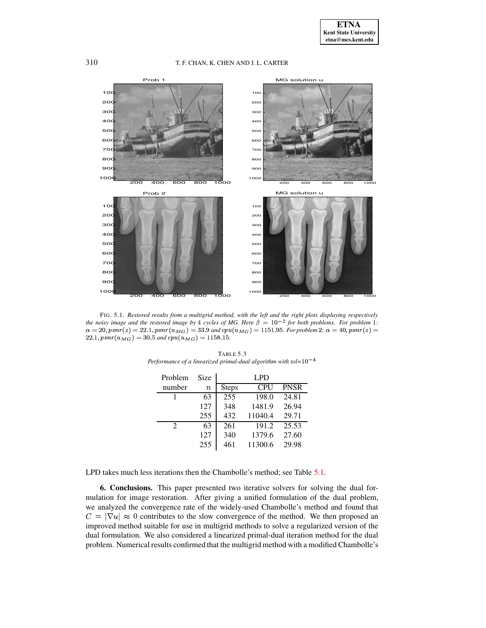

<span id="page-11-1"></span><span id="page-11-0"></span>FIG. 5.1. *Restored results from a multigrid method, with the left and the right plots displaying respectively* the noisy image and the restored image by 4 cycles of MG. Here  $\beta = 10^{-2}$  for both problems. For problem 1:  $\alpha = 20$ , psnr(z) = 22.1, psnr( $u_{MG}$ ) = 33.9 and cpu( $u_{MG}$ ) = 1151.95. For problem 2:  $\alpha = 40$ , psnr(z) =  $22.1, psnr(u_{MG}) = 30.5$  and  $cpu(u_{MG}) = 1158.15$ .

| Problem                     | Size             |              | <b>LPD</b> |             |
|-----------------------------|------------------|--------------|------------|-------------|
| number                      | $\boldsymbol{n}$ | <b>Steps</b> | <b>CPU</b> | <b>PNSR</b> |
|                             | 63               | 255          | 198.0      | 24.81       |
|                             | 127              | 348          | 1481.9     | 26.94       |
|                             | 255              | 432          | 11040.4    | 29.71       |
| $\mathcal{D}_{\mathcal{L}}$ | 63               | 261          | 191.2      | 25.53       |
|                             | 127              | 340          | 1379.6     | 27.60       |
|                             | 255              | 461          | 11300.6    | 29.98       |

TABLE 5.3 *Performance* of a linearized primal-dual algorithm with  $tol=10^{-4}$ 

LPD takes much less iterations then the Chambolle's method; see Table [5.1.](#page-10-0)

**6. Conclusions.** This paper presented two iterative solvers for solving the dual formulation for image restoration. After giving a unified formulation of the dual problem, we analyzed the convergence rate of the widely-used Chambolle's method and found that  $= |\nabla u| \approx 0$  contributes to the slow convergence of the method. We then proposed an improved method suitable for use in multigrid methods to solve a regularized version of the dual formulation. We also considered a linearized primal-dual iteration method for the dual problem. Numerical results confirmed that the multigrid method with a modified Chambolle's